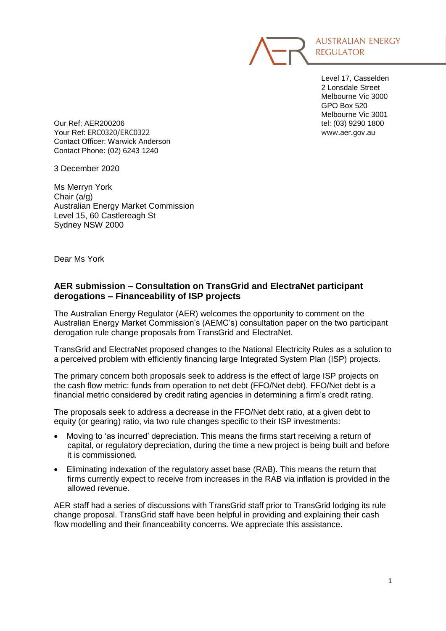

Level 17, Casselden 2 Lonsdale Street Melbourne Vic 3000 GPO Box 520 Melbourne Vic 3001

Our Ref: AER200206 tel: (03) 9290 1800 Your Ref: ERC0320/ERC0322 www.aer.gov.au Contact Officer: Warwick Anderson Contact Phone: (02) 6243 1240

3 December 2020

Ms Merryn York Chair (a/g) Australian Energy Market Commission Level 15, 60 Castlereagh St Sydney NSW 2000

Dear Ms York

# **AER submission – Consultation on TransGrid and ElectraNet participant derogations – Financeability of ISP projects**

The Australian Energy Regulator (AER) welcomes the opportunity to comment on the Australian Energy Market Commission's (AEMC's) consultation paper on the two participant derogation rule change proposals from TransGrid and ElectraNet.

TransGrid and ElectraNet proposed changes to the National Electricity Rules as a solution to a perceived problem with efficiently financing large Integrated System Plan (ISP) projects.

The primary concern both proposals seek to address is the effect of large ISP projects on the cash flow metric: funds from operation to net debt (FFO/Net debt). FFO/Net debt is a financial metric considered by credit rating agencies in determining a firm's credit rating.

The proposals seek to address a decrease in the FFO/Net debt ratio, at a given debt to equity (or gearing) ratio, via two rule changes specific to their ISP investments:

- Moving to 'as incurred' depreciation. This means the firms start receiving a return of capital, or regulatory depreciation, during the time a new project is being built and before it is commissioned.
- Eliminating indexation of the regulatory asset base (RAB). This means the return that firms currently expect to receive from increases in the RAB via inflation is provided in the allowed revenue.

AER staff had a series of discussions with TransGrid staff prior to TransGrid lodging its rule change proposal. TransGrid staff have been helpful in providing and explaining their cash flow modelling and their financeability concerns. We appreciate this assistance.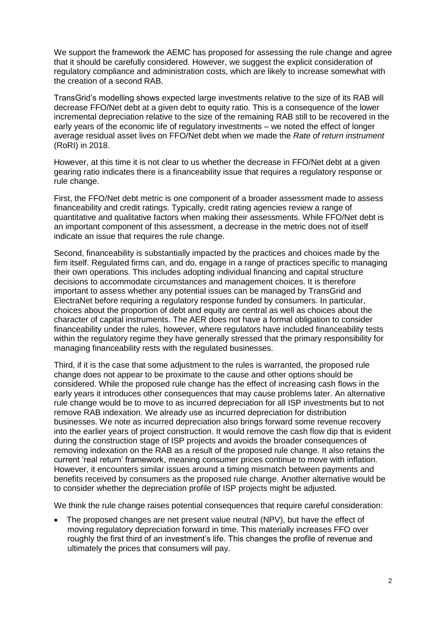We support the framework the AEMC has proposed for assessing the rule change and agree that it should be carefully considered. However, we suggest the explicit consideration of regulatory compliance and administration costs, which are likely to increase somewhat with the creation of a second RAB.

TransGrid's modelling shows expected large investments relative to the size of its RAB will decrease FFO/Net debt at a given debt to equity ratio. This is a consequence of the lower incremental depreciation relative to the size of the remaining RAB still to be recovered in the early years of the economic life of regulatory investments – we noted the effect of longer average residual asset lives on FFO/Net debt when we made the *Rate of return instrument* (RoRI) in 2018.

However, at this time it is not clear to us whether the decrease in FFO/Net debt at a given gearing ratio indicates there is a financeability issue that requires a regulatory response or rule change.

First, the FFO/Net debt metric is one component of a broader assessment made to assess financeability and credit ratings. Typically, credit rating agencies review a range of quantitative and qualitative factors when making their assessments. While FFO/Net debt is an important component of this assessment, a decrease in the metric does not of itself indicate an issue that requires the rule change.

Second, financeability is substantially impacted by the practices and choices made by the firm itself. Regulated firms can, and do, engage in a range of practices specific to managing their own operations. This includes adopting individual financing and capital structure decisions to accommodate circumstances and management choices. It is therefore important to assess whether any potential issues can be managed by TransGrid and ElectraNet before requiring a regulatory response funded by consumers. In particular, choices about the proportion of debt and equity are central as well as choices about the character of capital instruments. The AER does not have a formal obligation to consider financeability under the rules, however, where regulators have included financeability tests within the regulatory regime they have generally stressed that the primary responsibility for managing financeability rests with the regulated businesses.

Third, if it is the case that some adjustment to the rules is warranted, the proposed rule change does not appear to be proximate to the cause and other options should be considered. While the proposed rule change has the effect of increasing cash flows in the early years it introduces other consequences that may cause problems later. An alternative rule change would be to move to as incurred depreciation for all ISP investments but to not remove RAB indexation. We already use as incurred depreciation for distribution businesses. We note as incurred depreciation also brings forward some revenue recovery into the earlier years of project construction. It would remove the cash flow dip that is evident during the construction stage of ISP projects and avoids the broader consequences of removing indexation on the RAB as a result of the proposed rule change. It also retains the current 'real return' framework, meaning consumer prices continue to move with inflation. However, it encounters similar issues around a timing mismatch between payments and benefits received by consumers as the proposed rule change. Another alternative would be to consider whether the depreciation profile of ISP projects might be adjusted.

We think the rule change raises potential consequences that require careful consideration:

 The proposed changes are net present value neutral (NPV), but have the effect of moving regulatory depreciation forward in time. This materially increases FFO over roughly the first third of an investment's life. This changes the profile of revenue and ultimately the prices that consumers will pay.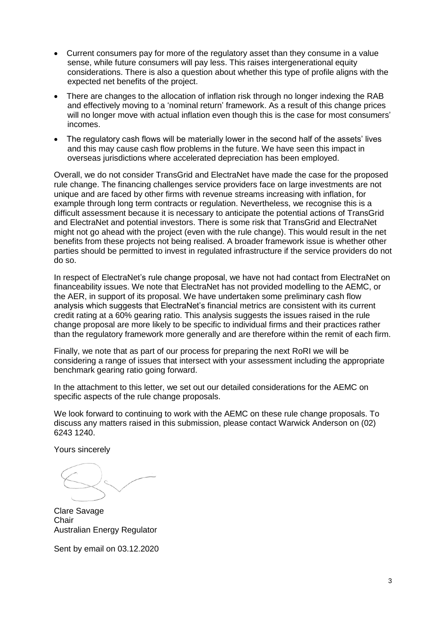- Current consumers pay for more of the regulatory asset than they consume in a value sense, while future consumers will pay less. This raises intergenerational equity considerations. There is also a question about whether this type of profile aligns with the expected net benefits of the project.
- There are changes to the allocation of inflation risk through no longer indexing the RAB and effectively moving to a 'nominal return' framework. As a result of this change prices will no longer move with actual inflation even though this is the case for most consumers' incomes.
- The regulatory cash flows will be materially lower in the second half of the assets' lives and this may cause cash flow problems in the future. We have seen this impact in overseas jurisdictions where accelerated depreciation has been employed.

Overall, we do not consider TransGrid and ElectraNet have made the case for the proposed rule change. The financing challenges service providers face on large investments are not unique and are faced by other firms with revenue streams increasing with inflation, for example through long term contracts or regulation. Nevertheless, we recognise this is a difficult assessment because it is necessary to anticipate the potential actions of TransGrid and ElectraNet and potential investors. There is some risk that TransGrid and ElectraNet might not go ahead with the project (even with the rule change). This would result in the net benefits from these projects not being realised. A broader framework issue is whether other parties should be permitted to invest in regulated infrastructure if the service providers do not do so.

In respect of ElectraNet's rule change proposal, we have not had contact from ElectraNet on financeability issues. We note that ElectraNet has not provided modelling to the AEMC, or the AER, in support of its proposal. We have undertaken some preliminary cash flow analysis which suggests that ElectraNet's financial metrics are consistent with its current credit rating at a 60% gearing ratio. This analysis suggests the issues raised in the rule change proposal are more likely to be specific to individual firms and their practices rather than the regulatory framework more generally and are therefore within the remit of each firm.

Finally, we note that as part of our process for preparing the next RoRI we will be considering a range of issues that intersect with your assessment including the appropriate benchmark gearing ratio going forward.

In the attachment to this letter, we set out our detailed considerations for the AEMC on specific aspects of the rule change proposals.

We look forward to continuing to work with the AEMC on these rule change proposals. To discuss any matters raised in this submission, please contact Warwick Anderson on (02) 6243 1240.

Yours sincerely

Clare Savage **Chair** Australian Energy Regulator

Sent by email on 03.12.2020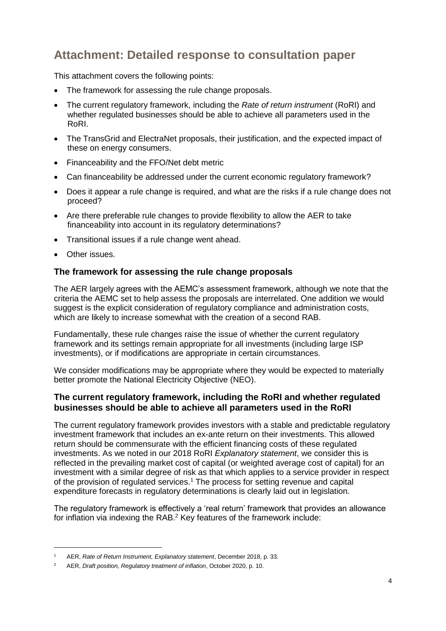# **Attachment: Detailed response to consultation paper**

This attachment covers the following points:

- The framework for assessing the rule change proposals.
- The current regulatory framework, including the *Rate of return instrument* (RoRI) and whether regulated businesses should be able to achieve all parameters used in the RoRI.
- The TransGrid and ElectraNet proposals, their justification, and the expected impact of these on energy consumers.
- Financeability and the FFO/Net debt metric
- Can financeability be addressed under the current economic regulatory framework?
- Does it appear a rule change is required, and what are the risks if a rule change does not proceed?
- Are there preferable rule changes to provide flexibility to allow the AER to take financeability into account in its regulatory determinations?
- Transitional issues if a rule change went ahead.
- Other issues.

-

# **The framework for assessing the rule change proposals**

The AER largely agrees with the AEMC's assessment framework, although we note that the criteria the AEMC set to help assess the proposals are interrelated. One addition we would suggest is the explicit consideration of regulatory compliance and administration costs, which are likely to increase somewhat with the creation of a second RAB.

Fundamentally, these rule changes raise the issue of whether the current regulatory framework and its settings remain appropriate for all investments (including large ISP investments), or if modifications are appropriate in certain circumstances.

We consider modifications may be appropriate where they would be expected to materially better promote the National Electricity Objective (NEO).

# **The current regulatory framework, including the RoRI and whether regulated businesses should be able to achieve all parameters used in the RoRI**

The current regulatory framework provides investors with a stable and predictable regulatory investment framework that includes an ex-ante return on their investments. This allowed return should be commensurate with the efficient financing costs of these regulated investments. As we noted in our 2018 RoRI *Explanatory statement*, we consider this is reflected in the prevailing market cost of capital (or weighted average cost of capital) for an investment with a similar degree of risk as that which applies to a service provider in respect of the provision of regulated services.<sup>1</sup> The process for setting revenue and capital expenditure forecasts in regulatory determinations is clearly laid out in legislation.

The regulatory framework is effectively a 'real return' framework that provides an allowance for inflation via indexing the RAB.<sup>2</sup> Key features of the framework include:

<sup>1</sup> AER, *Rate of Return Instrument, Explanatory statement*, December 2018, p. 33.

<sup>2</sup> AER, *Draft position, Regulatory treatment of inflation*, October 2020, p. 10.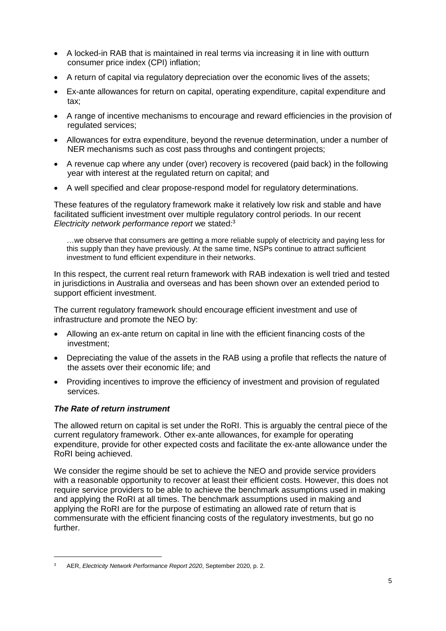- A locked-in RAB that is maintained in real terms via increasing it in line with outturn consumer price index (CPI) inflation;
- A return of capital via regulatory depreciation over the economic lives of the assets;
- Ex-ante allowances for return on capital, operating expenditure, capital expenditure and tax;
- A range of incentive mechanisms to encourage and reward efficiencies in the provision of regulated services;
- Allowances for extra expenditure, beyond the revenue determination, under a number of NER mechanisms such as cost pass throughs and contingent projects;
- A revenue cap where any under (over) recovery is recovered (paid back) in the following year with interest at the regulated return on capital; and
- A well specified and clear propose-respond model for regulatory determinations.

These features of the regulatory framework make it relatively low risk and stable and have facilitated sufficient investment over multiple regulatory control periods. In our recent *Electricity network performance report* we stated:<sup>3</sup>

…we observe that consumers are getting a more reliable supply of electricity and paying less for this supply than they have previously. At the same time, NSPs continue to attract sufficient investment to fund efficient expenditure in their networks.

In this respect, the current real return framework with RAB indexation is well tried and tested in jurisdictions in Australia and overseas and has been shown over an extended period to support efficient investment.

The current regulatory framework should encourage efficient investment and use of infrastructure and promote the NEO by:

- Allowing an ex-ante return on capital in line with the efficient financing costs of the investment;
- Depreciating the value of the assets in the RAB using a profile that reflects the nature of the assets over their economic life; and
- Providing incentives to improve the efficiency of investment and provision of regulated services.

## *The Rate of return instrument*

-

The allowed return on capital is set under the RoRI. This is arguably the central piece of the current regulatory framework. Other ex-ante allowances, for example for operating expenditure, provide for other expected costs and facilitate the ex-ante allowance under the RoRI being achieved.

We consider the regime should be set to achieve the NEO and provide service providers with a reasonable opportunity to recover at least their efficient costs. However, this does not require service providers to be able to achieve the benchmark assumptions used in making and applying the RoRI at all times. The benchmark assumptions used in making and applying the RoRI are for the purpose of estimating an allowed rate of return that is commensurate with the efficient financing costs of the regulatory investments, but go no further.

<sup>3</sup> AER, *Electricity Network Performance Report 2020*, September 2020, p. 2.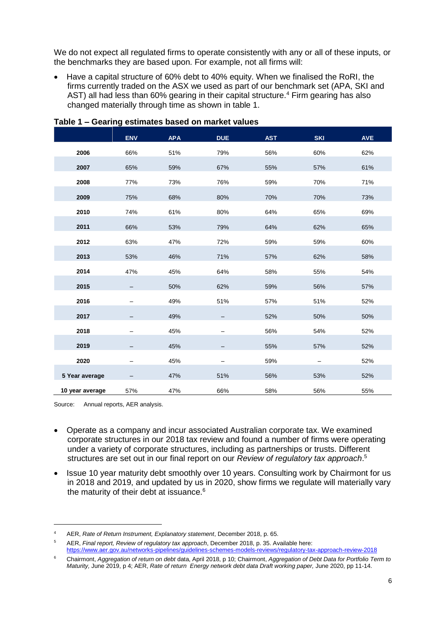We do not expect all regulated firms to operate consistently with any or all of these inputs, or the benchmarks they are based upon. For example, not all firms will:

 Have a capital structure of 60% debt to 40% equity. When we finalised the RoRI, the firms currently traded on the ASX we used as part of our benchmark set (APA, SKI and AST) all had less than 60% gearing in their capital structure.<sup>4</sup> Firm gearing has also changed materially through time as shown in table 1.

|                 | <b>ENV</b> | <b>APA</b> | <b>DUE</b> | <b>AST</b> | <b>SKI</b> | <b>AVE</b> |
|-----------------|------------|------------|------------|------------|------------|------------|
| 2006            | 66%        | 51%        | 79%        | 56%        | 60%        | 62%        |
| 2007            | 65%        | 59%        | 67%        | 55%        | 57%        | 61%        |
| 2008            | 77%        | 73%        | 76%        | 59%        | 70%        | 71%        |
| 2009            | 75%        | 68%        | 80%        | 70%        | 70%        | 73%        |
| 2010            | 74%        | 61%        | 80%        | 64%        | 65%        | 69%        |
| 2011            | 66%        | 53%        | 79%        | 64%        | 62%        | 65%        |
| 2012            | 63%        | 47%        | 72%        | 59%        | 59%        | 60%        |
| 2013            | 53%        | 46%        | 71%        | 57%        | 62%        | 58%        |
| 2014            | 47%        | 45%        | 64%        | 58%        | 55%        | 54%        |
| 2015            |            | 50%        | 62%        | 59%        | 56%        | 57%        |
| 2016            |            | 49%        | 51%        | 57%        | 51%        | 52%        |
| 2017            |            | 49%        |            | 52%        | 50%        | 50%        |
| 2018            |            | 45%        |            | 56%        | 54%        | 52%        |
| 2019            |            | 45%        |            | 55%        | 57%        | 52%        |
| 2020            |            | 45%        |            | 59%        |            | 52%        |
| 5 Year average  |            | 47%        | 51%        | 56%        | 53%        | 52%        |
| 10 year average | 57%        | 47%        | 66%        | 58%        | 56%        | 55%        |

**Table 1 – Gearing estimates based on market values**

Source: Annual reports, AER analysis.

- Operate as a company and incur associated Australian corporate tax. We examined corporate structures in our 2018 tax review and found a number of firms were operating under a variety of corporate structures, including as partnerships or trusts. Different structures are set out in our final report on our *Review of regulatory tax approach*. 5
- Issue 10 year maturity debt smoothly over 10 years. Consulting work by Chairmont for us in 2018 and 2019, and updated by us in 2020, show firms we regulate will materially vary the maturity of their debt at issuance.<sup>6</sup>

<sup>4</sup> AER, *Rate of Return Instrument, Explanatory statement*, December 2018, p. 65.

<sup>5</sup> AER, *Final report, Review of regulatory tax approach*, December 2018, p. 35. Available here: <https://www.aer.gov.au/networks-pipelines/guidelines-schemes-models-reviews/regulatory-tax-approach-review-2018>

<sup>6</sup> Chairmont, *Aggregation of return on debt* data, April 2018, p 10; Chairmont, *Aggregation of Debt Data for Portfolio Term to Maturity,* June 2019, p 4; AER, *Rate of return Energy network debt data Draft working paper,* June 2020, pp 11-14.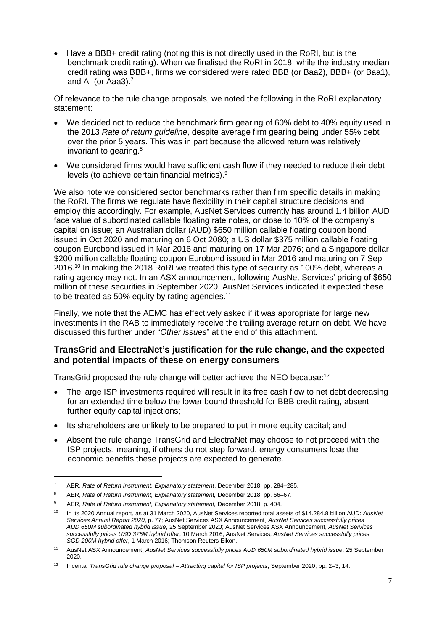Have a BBB+ credit rating (noting this is not directly used in the RoRI, but is the benchmark credit rating). When we finalised the RoRI in 2018, while the industry median credit rating was BBB+, firms we considered were rated BBB (or Baa2), BBB+ (or Baa1), and A- (or Aaa3). $<sup>7</sup>$ </sup>

Of relevance to the rule change proposals, we noted the following in the RoRI explanatory statement:

- We decided not to reduce the benchmark firm gearing of 60% debt to 40% equity used in the 2013 *Rate of return guideline*, despite average firm gearing being under 55% debt over the prior 5 years. This was in part because the allowed return was relatively invariant to gearing. 8
- We considered firms would have sufficient cash flow if they needed to reduce their debt levels (to achieve certain financial metrics). 9

We also note we considered sector benchmarks rather than firm specific details in making the RoRI. The firms we regulate have flexibility in their capital structure decisions and employ this accordingly. For example, AusNet Services currently has around 1.4 billion AUD face value of subordinated callable floating rate notes, or close to 10% of the company's capital on issue; an Australian dollar (AUD) \$650 million callable floating coupon bond issued in Oct 2020 and maturing on 6 Oct 2080; a US dollar \$375 million callable floating coupon Eurobond issued in Mar 2016 and maturing on 17 Mar 2076; and a Singapore dollar \$200 million callable floating coupon Eurobond issued in Mar 2016 and maturing on 7 Sep 2016. <sup>10</sup> In making the 2018 RoRI we treated this type of security as 100% debt, whereas a rating agency may not. In an ASX announcement, following AusNet Services' pricing of \$650 million of these securities in September 2020, AusNet Services indicated it expected these to be treated as 50% equity by rating agencies.<sup>11</sup>

Finally, we note that the AEMC has effectively asked if it was appropriate for large new investments in the RAB to immediately receive the trailing average return on debt. We have discussed this further under "*Other issues*" at the end of this attachment.

# **TransGrid and ElectraNet's justification for the rule change, and the expected and potential impacts of these on energy consumers**

TransGrid proposed the rule change will better achieve the NEO because:<sup>12</sup>

- The large ISP investments required will result in its free cash flow to net debt decreasing for an extended time below the lower bound threshold for BBB credit rating, absent further equity capital injections;
- Its shareholders are unlikely to be prepared to put in more equity capital; and
- Absent the rule change TransGrid and ElectraNet may choose to not proceed with the ISP projects, meaning, if others do not step forward, energy consumers lose the economic benefits these projects are expected to generate.

<sup>7</sup> AER, *Rate of Return Instrument, Explanatory statement*, December 2018, pp. 284–285.

<sup>8</sup> AER, *Rate of Return Instrument, Explanatory statement,* December 2018, pp. 66–67.

<sup>9</sup> AER, *Rate of Return Instrument, Explanatory statement,* December 2018, p. 404.

<sup>10</sup> In its 2020 Annual report, as at 31 March 2020, AusNet Services reported total assets of \$14.284.8 billion AUD: *AusNet Services Annual Report 2020*, p. 77; AusNet Services ASX Announcement¸ *AusNet Services successfully prices AUD 650M subordinated hybrid issue*, 25 September 2020; AusNet Services ASX Announcement, *AusNet Services successfully prices USD 375M hybrid offer*, 10 March 2016; AusNet Services, *AusNet Services successfully prices SGD 200M hybrid offer*, 1 March 2016; Thomson Reuters Eikon.

<sup>11</sup> AusNet ASX Announcement¸ *AusNet Services successfully prices AUD 650M subordinated hybrid issue*, 25 September 2020.

<sup>12</sup> Incenta, *TransGrid rule change proposal – Attracting capital for ISP projects*, September 2020, pp. 2–3, 14.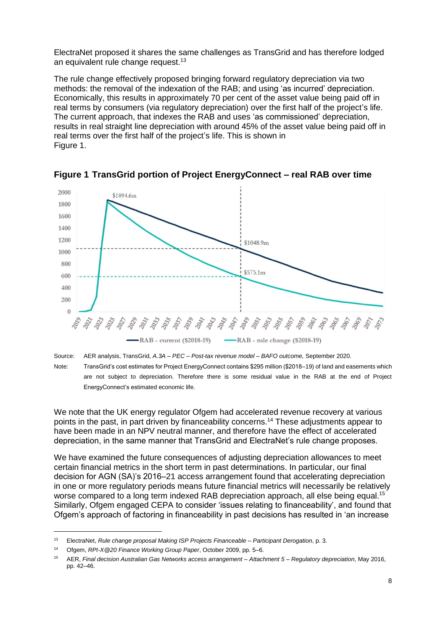ElectraNet proposed it shares the same challenges as TransGrid and has therefore lodged an equivalent rule change request.<sup>13</sup>

The rule change effectively proposed bringing forward regulatory depreciation via two methods: the removal of the indexation of the RAB; and using 'as incurred' depreciation. Economically, this results in approximately 70 per cent of the asset value being paid off in real terms by consumers (via regulatory depreciation) over the first half of the project's life. The current approach, that indexes the RAB and uses 'as commissioned' depreciation, results in real straight line depreciation with around 45% of the asset value being paid off in real terms over the first half of the project's life. This is shown in [Figure 1.](#page-7-0)



<span id="page-7-0"></span>**Figure 1 TransGrid portion of Project EnergyConnect – real RAB over time**

Source: AER analysis, TransGrid, *A.3A – PEC – Post-tax revenue model – BAFO outcome,* September 2020. Note: TransGrid's cost estimates for Project EnergyConnect contains \$295 million (\$2018–19) of land and easements which are not subject to depreciation. Therefore there is some residual value in the RAB at the end of Project EnergyConnect's estimated economic life.

We note that the UK energy regulator Ofgem had accelerated revenue recovery at various points in the past, in part driven by financeability concerns.<sup>14</sup> These adjustments appear to have been made in an NPV neutral manner, and therefore have the effect of accelerated depreciation, in the same manner that TransGrid and ElectraNet's rule change proposes.

We have examined the future consequences of adjusting depreciation allowances to meet certain financial metrics in the short term in past determinations. In particular, our final decision for AGN (SA)'s 2016–21 access arrangement found that accelerating depreciation in one or more regulatory periods means future financial metrics will necessarily be relatively worse compared to a long term indexed RAB depreciation approach, all else being equal.<sup>15</sup> Similarly, Ofgem engaged CEPA to consider 'issues relating to financeability', and found that Ofgem's approach of factoring in financeability in past decisions has resulted in 'an increase

<sup>13</sup> ElectraNet, *Rule change proposal Making ISP Projects Financeable – Participant Derogation*, p. 3.

<sup>14</sup> Ofgem, *RPI-X@20 Finance Working Group Paper*, October 2009, pp. 5–6.

<sup>15</sup> AER, *Final decision Australian Gas Networks access arrangement – Attachment 5 – Regulatory depreciation*, May 2016, pp. 42–46.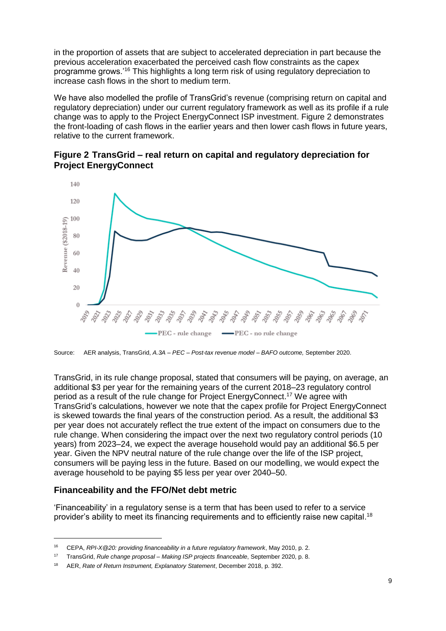in the proportion of assets that are subject to accelerated depreciation in part because the previous acceleration exacerbated the perceived cash flow constraints as the capex programme grows.'<sup>16</sup> This highlights a long term risk of using regulatory depreciation to increase cash flows in the short to medium term.

We have also modelled the profile of TransGrid's revenue (comprising return on capital and regulatory depreciation) under our current regulatory framework as well as its profile if a rule change was to apply to the Project EnergyConnect ISP investment. [Figure 2](#page-8-0) demonstrates the front-loading of cash flows in the earlier years and then lower cash flows in future years, relative to the current framework.

<span id="page-8-0"></span>**Figure 2 TransGrid – real return on capital and regulatory depreciation for Project EnergyConnect** 



Source: AER analysis, TransGrid, *A.3A – PEC – Post-tax revenue model – BAFO outcome,* September 2020.

TransGrid, in its rule change proposal, stated that consumers will be paying, on average, an additional \$3 per year for the remaining years of the current 2018–23 regulatory control period as a result of the rule change for Project EnergyConnect. <sup>17</sup> We agree with TransGrid's calculations, however we note that the capex profile for Project EnergyConnect is skewed towards the final years of the construction period. As a result, the additional \$3 per year does not accurately reflect the true extent of the impact on consumers due to the rule change. When considering the impact over the next two regulatory control periods (10 years) from 2023–24, we expect the average household would pay an additional \$6.5 per year. Given the NPV neutral nature of the rule change over the life of the ISP project, consumers will be paying less in the future. Based on our modelling, we would expect the average household to be paying \$5 less per year over 2040–50.

# **Financeability and the FFO/Net debt metric**

-

'Financeability' in a regulatory sense is a term that has been used to refer to a service provider's ability to meet its financing requirements and to efficiently raise new capital.<sup>18</sup>

<sup>16</sup> CEPA, *RPI-X@20: providing financeability in a future regulatory framework*, May 2010, p. 2.

<sup>17</sup> TransGrid, *Rule change proposal – Making ISP projects financeable*, September 2020, p. 8.

<sup>18</sup> AER, *Rate of Return Instrument, Explanatory Statement*, December 2018, p. 392.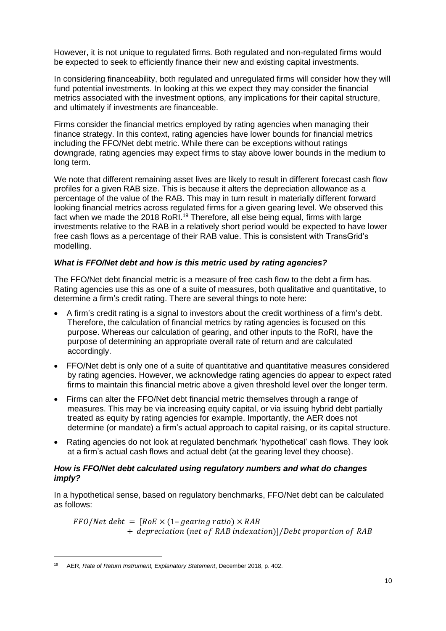However, it is not unique to regulated firms. Both regulated and non-regulated firms would be expected to seek to efficiently finance their new and existing capital investments.

In considering financeability, both regulated and unregulated firms will consider how they will fund potential investments. In looking at this we expect they may consider the financial metrics associated with the investment options, any implications for their capital structure, and ultimately if investments are financeable.

Firms consider the financial metrics employed by rating agencies when managing their finance strategy. In this context, rating agencies have lower bounds for financial metrics including the FFO/Net debt metric. While there can be exceptions without ratings downgrade, rating agencies may expect firms to stay above lower bounds in the medium to long term.

We note that different remaining asset lives are likely to result in different forecast cash flow profiles for a given RAB size. This is because it alters the depreciation allowance as a percentage of the value of the RAB. This may in turn result in materially different forward looking financial metrics across regulated firms for a given gearing level. We observed this fact when we made the 2018 RoRI.<sup>19</sup> Therefore, all else being equal, firms with large investments relative to the RAB in a relatively short period would be expected to have lower free cash flows as a percentage of their RAB value. This is consistent with TransGrid's modelling.

## *What is FFO/Net debt and how is this metric used by rating agencies?*

The FFO/Net debt financial metric is a measure of free cash flow to the debt a firm has. Rating agencies use this as one of a suite of measures, both qualitative and quantitative, to determine a firm's credit rating. There are several things to note here:

- A firm's credit rating is a signal to investors about the credit worthiness of a firm's debt. Therefore, the calculation of financial metrics by rating agencies is focused on this purpose. Whereas our calculation of gearing, and other inputs to the RoRI, have the purpose of determining an appropriate overall rate of return and are calculated accordingly.
- FFO/Net debt is only one of a suite of quantitative and quantitative measures considered by rating agencies. However, we acknowledge rating agencies do appear to expect rated firms to maintain this financial metric above a given threshold level over the longer term.
- Firms can alter the FFO/Net debt financial metric themselves through a range of measures. This may be via increasing equity capital, or via issuing hybrid debt partially treated as equity by rating agencies for example. Importantly, the AER does not determine (or mandate) a firm's actual approach to capital raising, or its capital structure.
- Rating agencies do not look at regulated benchmark 'hypothetical' cash flows. They look at a firm's actual cash flows and actual debt (at the gearing level they choose).

## *How is FFO/Net debt calculated using regulatory numbers and what do changes imply?*

In a hypothetical sense, based on regulatory benchmarks, FFO/Net debt can be calculated as follows:

 $FFO/Net debt = [RoE \times (1-eearina ratio) \times RAB]$ + depreciation (net of RAB indexation)]/Debt proportion of RAB

<sup>19</sup> AER, *Rate of Return Instrument, Explanatory Statement*, December 2018, p. 402.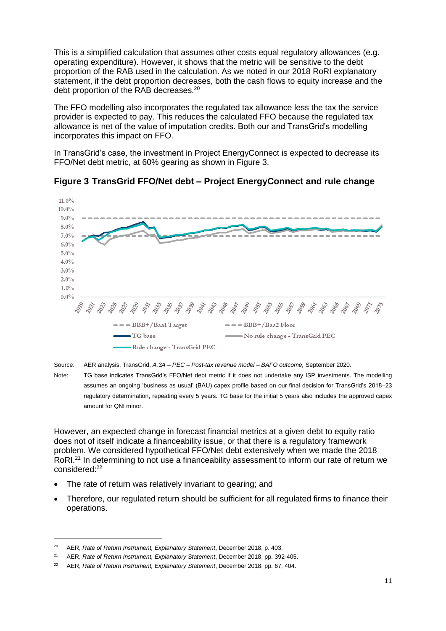This is a simplified calculation that assumes other costs equal regulatory allowances (e.g. operating expenditure). However, it shows that the metric will be sensitive to the debt proportion of the RAB used in the calculation. As we noted in our 2018 RoRI explanatory statement, if the debt proportion decreases, both the cash flows to equity increase and the debt proportion of the RAB decreases.<sup>20</sup>

The FFO modelling also incorporates the regulated tax allowance less the tax the service provider is expected to pay. This reduces the calculated FFO because the regulated tax allowance is net of the value of imputation credits. Both our and TransGrid's modelling incorporates this impact on FFO.

In TransGrid's case, the investment in Project EnergyConnect is expected to decrease its FFO/Net debt metric, at 60% gearing as shown in [Figure 3.](#page-10-0)



<span id="page-10-0"></span>

Source: AER analysis, TransGrid, *A.3A – PEC – Post-tax revenue model – BAFO outcome,* September 2020.

Note: TG base indicates TransGrid's FFO/Net debt metric if it does not undertake any ISP investments. The modelling assumes an ongoing 'business as usual' (BAU) capex profile based on our final decision for TransGrid's 2018–23 regulatory determination, repeating every 5 years. TG base for the initial 5 years also includes the approved capex amount for QNI minor.

However, an expected change in forecast financial metrics at a given debt to equity ratio does not of itself indicate a financeability issue, or that there is a regulatory framework problem. We considered hypothetical FFO/Net debt extensively when we made the 2018 RoRI<sup>21</sup> In determining to not use a financeability assessment to inform our rate of return we considered:<sup>22</sup>

- The rate of return was relatively invariant to gearing; and
- Therefore, our regulated return should be sufficient for all regulated firms to finance their operations.

<sup>20</sup> AER, *Rate of Return Instrument, Explanatory Statement*, December 2018, p. 403.

<sup>21</sup> AER, *Rate of Return Instrument, Explanatory Statement*, December 2018, pp. 392-405.

<sup>22</sup> AER, *Rate of Return Instrument, Explanatory Statement*, December 2018, pp. 67, 404.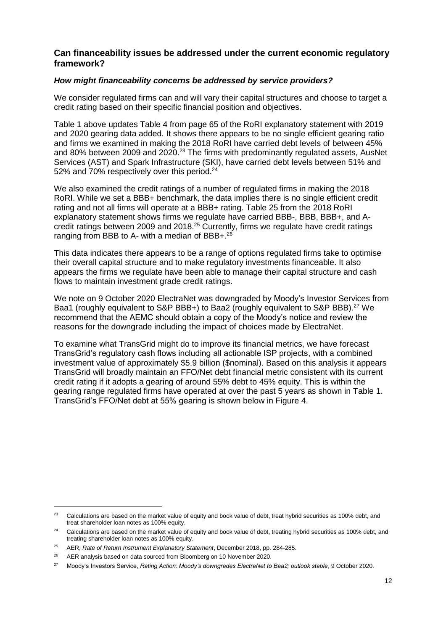## **Can financeability issues be addressed under the current economic regulatory framework?**

#### *How might financeability concerns be addressed by service providers?*

We consider regulated firms can and will vary their capital structures and choose to target a credit rating based on their specific financial position and objectives.

Table 1 above updates Table 4 from page 65 of the RoRI explanatory statement with 2019 and 2020 gearing data added. It shows there appears to be no single efficient gearing ratio and firms we examined in making the 2018 RoRI have carried debt levels of between 45% and 80% between 2009 and 2020.<sup>23</sup> The firms with predominantly regulated assets, AusNet Services (AST) and Spark Infrastructure (SKI), have carried debt levels between 51% and 52% and 70% respectively over this period.<sup>24</sup>

We also examined the credit ratings of a number of regulated firms in making the 2018 RoRI. While we set a BBB+ benchmark, the data implies there is no single efficient credit rating and not all firms will operate at a BBB+ rating. Table 25 from the 2018 RoRI explanatory statement shows firms we regulate have carried BBB-, BBB, BBB+, and Acredit ratings between 2009 and 2018.<sup>25</sup> Currently, firms we regulate have credit ratings ranging from BBB to A- with a median of BBB+.<sup>26</sup>

This data indicates there appears to be a range of options regulated firms take to optimise their overall capital structure and to make regulatory investments financeable. It also appears the firms we regulate have been able to manage their capital structure and cash flows to maintain investment grade credit ratings.

We note on 9 October 2020 ElectraNet was downgraded by Moody's Investor Services from Baa1 (roughly equivalent to S&P BBB+) to Baa2 (roughly equivalent to S&P BBB).<sup>27</sup> We recommend that the AEMC should obtain a copy of the Moody's notice and review the reasons for the downgrade including the impact of choices made by ElectraNet.

To examine what TransGrid might do to improve its financial metrics, we have forecast TransGrid's regulatory cash flows including all actionable ISP projects, with a combined investment value of approximately \$5.9 billion (\$nominal). Based on this analysis it appears TransGrid will broadly maintain an FFO/Net debt financial metric consistent with its current credit rating if it adopts a gearing of around 55% debt to 45% equity. This is within the gearing range regulated firms have operated at over the past 5 years as shown in Table 1. TransGrid's FFO/Net debt at 55% gearing is shown below in [Figure 4.](#page-12-0)

<sup>&</sup>lt;sup>23</sup> Calculations are based on the market value of equity and book value of debt, treat hybrid securities as 100% debt, and treat shareholder loan notes as 100% equity.

<sup>&</sup>lt;sup>24</sup> Calculations are based on the market value of equity and book value of debt, treating hybrid securities as 100% debt, and treating shareholder loan notes as 100% equity.

<sup>25</sup> AER, *Rate of Return Instrument Explanatory Statement*, December 2018, pp. 284-285.

<sup>&</sup>lt;sup>26</sup> AER analysis based on data sourced from Bloomberg on 10 November 2020.

<sup>27</sup> Moody's Investors Service, *Rating Action: Moody's downgrades ElectraNet to Baa2; outlook stable*, 9 October 2020.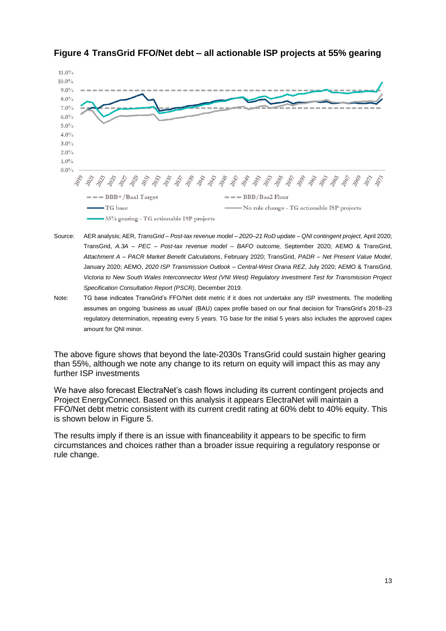

# <span id="page-12-0"></span>**Figure 4 TransGrid FFO/Net debt – all actionable ISP projects at 55% gearing**

- Source: AER analysis; AER, *TransGrid – Post-tax revenue model – 2020–21 RoD update – QNI contingent project,* April 2020; TransGrid, *A.3A – PEC – Post-tax revenue model – BAFO outcome,* September 2020; AEMO & TransGrid, *Attachment A – PACR Market Benefit Calculations*, February 2020; TransGrid, *PADR – Net Present Value Model*, January 2020; AEMO, *2020 ISP Transmission Outlook – Central-West Orana REZ*, July 2020; AEMO & TransGrid, *Victoria to New South Wales Interconnector West (VNI West) Regulatory Investment Test for Transmission Project Specification Consultation Report (PSCR)*, December 2019.
- Note: TG base indicates TransGrid's FFO/Net debt metric if it does not undertake any ISP investments. The modelling assumes an ongoing 'business as usual' (BAU) capex profile based on our final decision for TransGrid's 2018–23 regulatory determination, repeating every 5 years. TG base for the initial 5 years also includes the approved capex amount for QNI minor.

The above figure shows that beyond the late-2030s TransGrid could sustain higher gearing than 55%, although we note any change to its return on equity will impact this as may any further ISP investments

We have also forecast ElectraNet's cash flows including its current contingent projects and Project EnergyConnect. Based on this analysis it appears ElectraNet will maintain a FFO/Net debt metric consistent with its current credit rating at 60% debt to 40% equity. This is shown below in [Figure 5.](#page-13-0)

The results imply if there is an issue with financeability it appears to be specific to firm circumstances and choices rather than a broader issue requiring a regulatory response or rule change.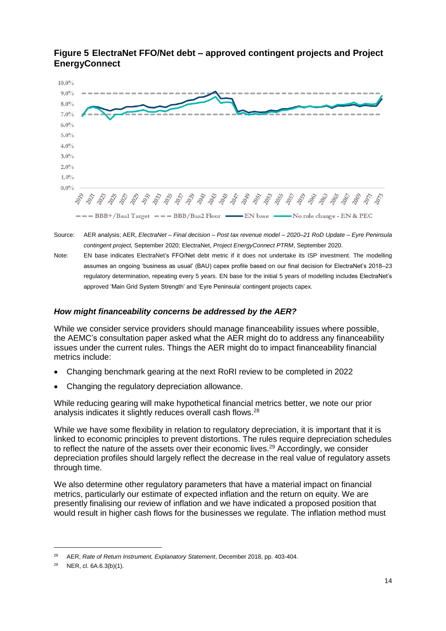

# <span id="page-13-0"></span>**Figure 5 ElectraNet FFO/Net debt – approved contingent projects and Project EnergyConnect**

Source: AER analysis; AER, *ElectraNet – Final decision – Post tax revenue model – 2020–21 RoD Update – Eyre Peninsula contingent project,* September 2020; ElectraNet, *Project EnergyConnect PTRM*, September 2020.

Note: EN base indicates ElectraNet's FFO/Net debt metric if it does not undertake its ISP investment. The modelling assumes an ongoing 'business as usual' (BAU) capex profile based on our final decision for ElectraNet's 2018–23 regulatory determination, repeating every 5 years. EN base for the initial 5 years of modelling includes ElectraNet's approved 'Main Grid System Strength' and 'Eyre Peninsula' contingent projects capex.

# *How might financeability concerns be addressed by the AER?*

While we consider service providers should manage financeability issues where possible, the AEMC's consultation paper asked what the AER might do to address any financeability issues under the current rules. Things the AER might do to impact financeability financial metrics include:

- Changing benchmark gearing at the next RoRI review to be completed in 2022
- Changing the regulatory depreciation allowance.

While reducing gearing will make hypothetical financial metrics better, we note our prior analysis indicates it slightly reduces overall cash flows.<sup>28</sup>

While we have some flexibility in relation to regulatory depreciation, it is important that it is linked to economic principles to prevent distortions. The rules require depreciation schedules to reflect the nature of the assets over their economic lives.<sup>29</sup> Accordingly, we consider depreciation profiles should largely reflect the decrease in the real value of regulatory assets through time.

We also determine other regulatory parameters that have a material impact on financial metrics, particularly our estimate of expected inflation and the return on equity. We are presently finalising our review of inflation and we have indicated a proposed position that would result in higher cash flows for the businesses we regulate. The inflation method must

<sup>28</sup> AER, *Rate of Return Instrument, Explanatory Statement*, December 2018, pp. 403-404.

<sup>29</sup> NER, cl. 6A.6.3(b)(1).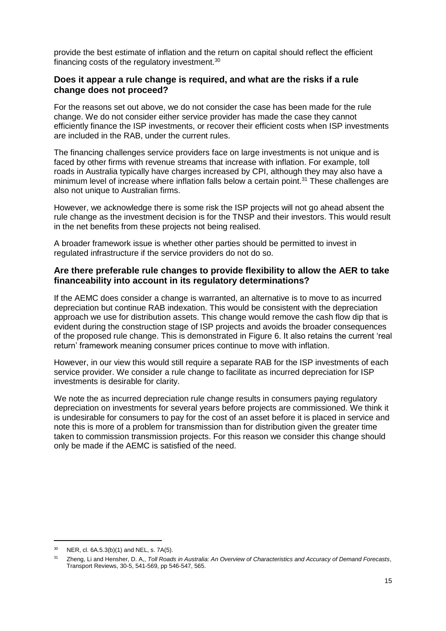provide the best estimate of inflation and the return on capital should reflect the efficient financing costs of the regulatory investment.<sup>30</sup>

## **Does it appear a rule change is required, and what are the risks if a rule change does not proceed?**

For the reasons set out above, we do not consider the case has been made for the rule change. We do not consider either service provider has made the case they cannot efficiently finance the ISP investments, or recover their efficient costs when ISP investments are included in the RAB, under the current rules.

The financing challenges service providers face on large investments is not unique and is faced by other firms with revenue streams that increase with inflation. For example, toll roads in Australia typically have charges increased by CPI, although they may also have a minimum level of increase where inflation falls below a certain point.<sup>31</sup> These challenges are also not unique to Australian firms.

However, we acknowledge there is some risk the ISP projects will not go ahead absent the rule change as the investment decision is for the TNSP and their investors. This would result in the net benefits from these projects not being realised.

A broader framework issue is whether other parties should be permitted to invest in regulated infrastructure if the service providers do not do so.

## **Are there preferable rule changes to provide flexibility to allow the AER to take financeability into account in its regulatory determinations?**

If the AEMC does consider a change is warranted, an alternative is to move to as incurred depreciation but continue RAB indexation. This would be consistent with the depreciation approach we use for distribution assets. This change would remove the cash flow dip that is evident during the construction stage of ISP projects and avoids the broader consequences of the proposed rule change. This is demonstrated in [Figure 6.](#page-15-0) It also retains the current 'real return' framework meaning consumer prices continue to move with inflation.

However, in our view this would still require a separate RAB for the ISP investments of each service provider. We consider a rule change to facilitate as incurred depreciation for ISP investments is desirable for clarity.

We note the as incurred depreciation rule change results in consumers paying regulatory depreciation on investments for several years before projects are commissioned. We think it is undesirable for consumers to pay for the cost of an asset before it is placed in service and note this is more of a problem for transmission than for distribution given the greater time taken to commission transmission projects. For this reason we consider this change should only be made if the AEMC is satisfied of the need.

<sup>30</sup> NER, cl. 6A.5.3(b)(1) and NEL, s. 7A(5).

<sup>31</sup> Zheng, Li and Hensher, D. A,, *Toll Roads in Australia: An Overview of Characteristics and Accuracy of Demand Forecasts*, Transport Reviews, 30-5, 541-569, pp 546-547, 565.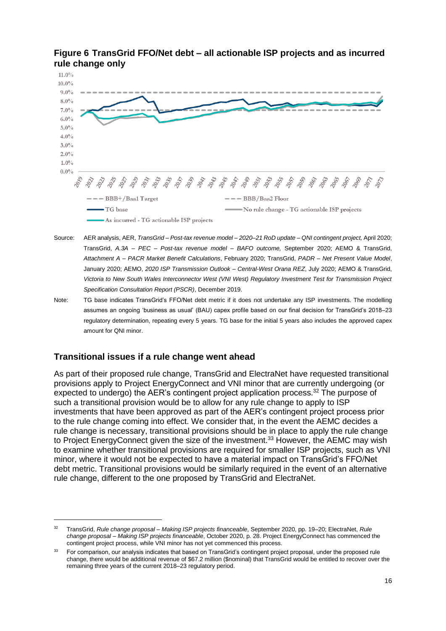

# <span id="page-15-0"></span>**Figure 6 TransGrid FFO/Net debt – all actionable ISP projects and as incurred rule change only**

- Source: AER analysis, AER, *TransGrid – Post-tax revenue model – 2020–21 RoD update – QNI contingent project,* April 2020; TransGrid, *A.3A – PEC – Post-tax revenue model – BAFO outcome,* September 2020; AEMO & TransGrid, *Attachment A – PACR Market Benefit Calculations*, February 2020; TransGrid, *PADR – Net Present Value Model*, January 2020; AEMO, *2020 ISP Transmission Outlook – Central-West Orana REZ*, July 2020; AEMO & TransGrid, *Victoria to New South Wales Interconnector West (VNI West) Regulatory Investment Test for Transmission Project Specification Consultation Report (PSCR)*, December 2019.
- Note: TG base indicates TransGrid's FFO/Net debt metric if it does not undertake any ISP investments. The modelling assumes an ongoing 'business as usual' (BAU) capex profile based on our final decision for TransGrid's 2018–23 regulatory determination, repeating every 5 years. TG base for the initial 5 years also includes the approved capex amount for QNI minor.

# **Transitional issues if a rule change went ahead**

-

As part of their proposed rule change, TransGrid and ElectraNet have requested transitional provisions apply to Project EnergyConnect and VNI minor that are currently undergoing (or expected to undergo) the AER's contingent project application process.<sup>32</sup> The purpose of such a transitional provision would be to allow for any rule change to apply to ISP investments that have been approved as part of the AER's contingent project process prior to the rule change coming into effect. We consider that, in the event the AEMC decides a rule change is necessary, transitional provisions should be in place to apply the rule change to Project EnergyConnect given the size of the investment.<sup>33</sup> However, the AEMC may wish to examine whether transitional provisions are required for smaller ISP projects, such as VNI minor, where it would not be expected to have a material impact on TransGrid's FFO/Net debt metric. Transitional provisions would be similarly required in the event of an alternative rule change, different to the one proposed by TransGrid and ElectraNet.

<sup>32</sup> TransGrid, *Rule change proposal – Making ISP projects financeable*, September 2020, pp. 19–20; ElectraNet, *Rule change proposal – Making ISP projects financeable*, October 2020, p. 28. Project EnergyConnect has commenced the contingent project process, while VNI minor has not yet commenced this process.

<sup>33</sup> For comparison, our analysis indicates that based on TransGrid's contingent project proposal, under the proposed rule change, there would be additional revenue of \$67.2 million (\$nominal) that TransGrid would be entitled to recover over the remaining three years of the current 2018–23 regulatory period.